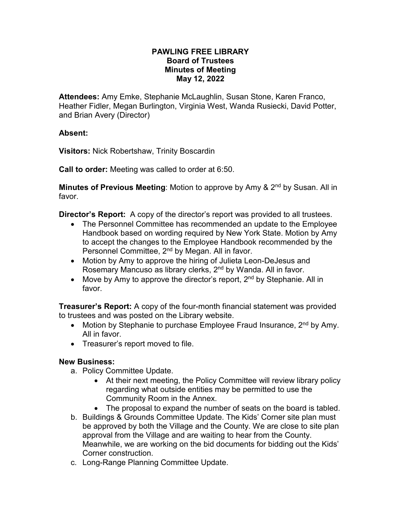#### **PAWLING FREE LIBRARY Board of Trustees Minutes of Meeting May 12, 2022**

**Attendees:** Amy Emke, Stephanie McLaughlin, Susan Stone, Karen Franco, Heather Fidler, Megan Burlington, Virginia West, Wanda Rusiecki, David Potter, and Brian Avery (Director)

#### **Absent:**

**Visitors:** Nick Robertshaw, Trinity Boscardin

**Call to order:** Meeting was called to order at 6:50.

**Minutes of Previous Meeting:** Motion to approve by Amy & 2<sup>nd</sup> by Susan. All in favor.

**Director's Report:** A copy of the director's report was provided to all trustees.

- The Personnel Committee has recommended an update to the Employee Handbook based on wording required by New York State. Motion by Amy to accept the changes to the Employee Handbook recommended by the Personnel Committee, 2<sup>nd</sup> by Megan. All in favor.
- Motion by Amy to approve the hiring of Julieta Leon-DeJesus and Rosemary Mancuso as library clerks, 2<sup>nd</sup> by Wanda. All in favor.
- Move by Amy to approve the director's report,  $2^{nd}$  by Stephanie. All in favor.

**Treasurer's Report:** A copy of the four-month financial statement was provided to trustees and was posted on the Library website.

- Motion by Stephanie to purchase Employee Fraud Insurance,  $2^{nd}$  by Amy. All in favor.
- Treasurer's report moved to file.

#### **New Business:**

- a. Policy Committee Update.
	- At their next meeting, the Policy Committee will review library policy regarding what outside entities may be permitted to use the Community Room in the Annex.
	- The proposal to expand the number of seats on the board is tabled.
- b. Buildings & Grounds Committee Update. The Kids' Corner site plan must be approved by both the Village and the County. We are close to site plan approval from the Village and are waiting to hear from the County. Meanwhile, we are working on the bid documents for bidding out the Kids' Corner construction.
- c. Long-Range Planning Committee Update.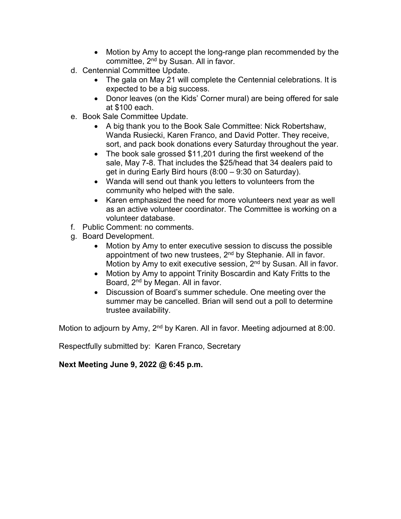- Motion by Amy to accept the long-range plan recommended by the committee, 2nd by Susan. All in favor.
- d. Centennial Committee Update.
	- The gala on May 21 will complete the Centennial celebrations. It is expected to be a big success.
	- Donor leaves (on the Kids' Corner mural) are being offered for sale at \$100 each.
- e. Book Sale Committee Update.
	- A big thank you to the Book Sale Committee: Nick Robertshaw, Wanda Rusiecki, Karen Franco, and David Potter. They receive, sort, and pack book donations every Saturday throughout the year.
	- The book sale grossed \$11,201 during the first weekend of the sale, May 7-8. That includes the \$25/head that 34 dealers paid to get in during Early Bird hours (8:00 – 9:30 on Saturday).
	- Wanda will send out thank you letters to volunteers from the community who helped with the sale.
	- Karen emphasized the need for more volunteers next year as well as an active volunteer coordinator. The Committee is working on a volunteer database.
- f. Public Comment: no comments.
- g. Board Development.
	- Motion by Amy to enter executive session to discuss the possible appointment of two new trustees, 2<sup>nd</sup> by Stephanie. All in favor. Motion by Amy to exit executive session, 2<sup>nd</sup> by Susan. All in favor.
	- Motion by Amy to appoint Trinity Boscardin and Katy Fritts to the Board, 2nd by Megan. All in favor.
	- Discussion of Board's summer schedule. One meeting over the summer may be cancelled. Brian will send out a poll to determine trustee availability.

Motion to adjourn by Amy,  $2<sup>nd</sup>$  by Karen. All in favor. Meeting adjourned at 8:00.

Respectfully submitted by: Karen Franco, Secretary

#### **Next Meeting June 9, 2022 @ 6:45 p.m.**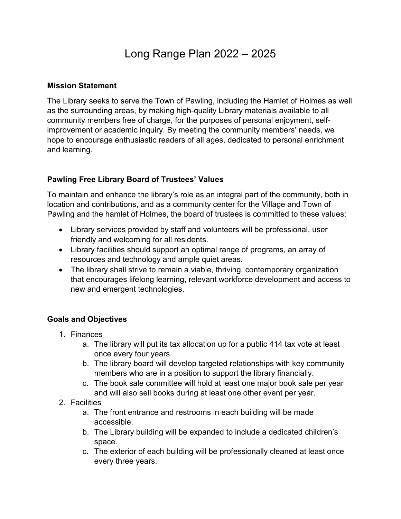# Long Range Plan 2022 – 2025

#### **Mission Statement**

The Library seeks to serve the Town of Pawling, including the Hamlet of Holmes as well as the surrounding areas, by making high-quality Library materials available to all community members free of charge, for the purposes of personal enjoyment, selfimprovement or academic inquiry. By meeting the community members' needs, we hope to encourage enthusiastic readers of all ages, dedicated to personal enrichment and learning.

### **Pawling Free Library Board of Trustees' Values**

To maintain and enhance the library's role as an integral part of the community, both in location and contributions, and as a community center for the Village and Town of Pawling and the hamlet of Holmes, the board of trustees is committed to these values:

- Library services provided by staff and volunteers will be professional, user friendly and welcoming for all residents.
- Library facilities should support an optimal range of programs, an array of resources and technology and ample quiet areas.
- The library shall strive to remain a viable, thriving, contemporary organization that encourages lifelong learning, relevant workforce development and access to new and emergent technologies.

#### **Goals and Objectives**

- 1. Finances
	- a. The library will put its tax allocation up for a public 414 tax vote at least once every four years.
	- b. The library board will develop targeted relationships with key community members who are in a position to support the library financially.
	- c. The book sale committee will hold at least one major book sale per year and will also sell books during at least one other event per year.
- 2. Facilities
	- a. The front entrance and restrooms in each building will be made accessible.
	- b. The Library building will be expanded to include a dedicated children's space.
	- c. The exterior of each building will be professionally cleaned at least once every three years.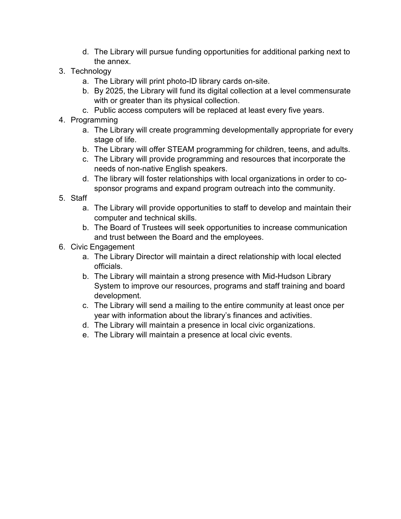- d. The Library will pursue funding opportunities for additional parking next to the annex.
- 3. Technology
	- a. The Library will print photo-ID library cards on-site.
	- b. By 2025, the Library will fund its digital collection at a level commensurate with or greater than its physical collection.
	- c. Public access computers will be replaced at least every five years.
- 4. Programming
	- a. The Library will create programming developmentally appropriate for every stage of life.
	- b. The Library will offer STEAM programming for children, teens, and adults.
	- c. The Library will provide programming and resources that incorporate the needs of non-native English speakers.
	- d. The library will foster relationships with local organizations in order to cosponsor programs and expand program outreach into the community.
- 5. Staff
	- a. The Library will provide opportunities to staff to develop and maintain their computer and technical skills.
	- b. The Board of Trustees will seek opportunities to increase communication and trust between the Board and the employees.
- 6. Civic Engagement
	- a. The Library Director will maintain a direct relationship with local elected officials.
	- b. The Library will maintain a strong presence with Mid-Hudson Library System to improve our resources, programs and staff training and board development.
	- c. The Library will send a mailing to the entire community at least once per year with information about the library's finances and activities.
	- d. The Library will maintain a presence in local civic organizations.
	- e. The Library will maintain a presence at local civic events.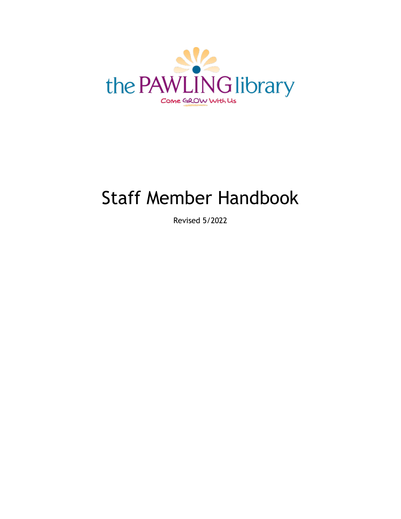

# Staff Member Handbook

Revised 5/2022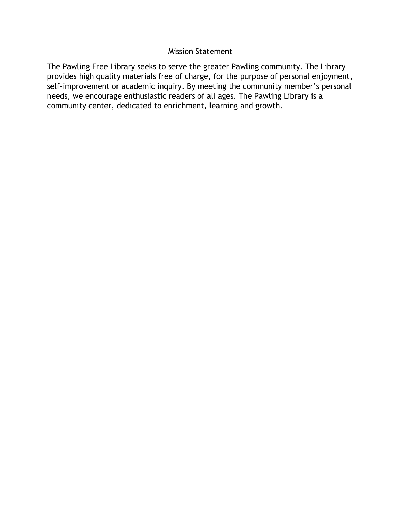#### Mission Statement

The Pawling Free Library seeks to serve the greater Pawling community. The Library provides high quality materials free of charge, for the purpose of personal enjoyment, self-improvement or academic inquiry. By meeting the community member's personal needs, we encourage enthusiastic readers of all ages. The Pawling Library is a community center, dedicated to enrichment, learning and growth.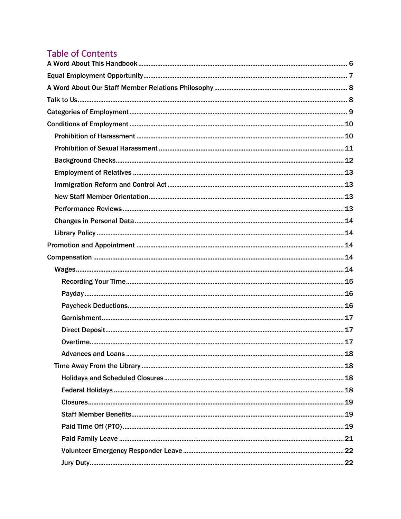# **Table of Contents**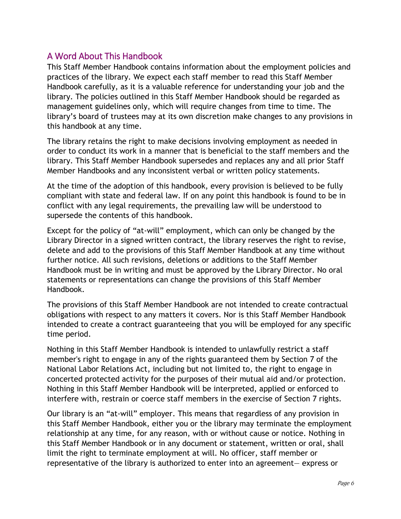## <span id="page-9-0"></span>A Word About This Handbook

This Staff Member Handbook contains information about the employment policies and practices of the library. We expect each staff member to read this Staff Member Handbook carefully, as it is a valuable reference for understanding your job and the library. The policies outlined in this Staff Member Handbook should be regarded as management guidelines only, which will require changes from time to time. The library's board of trustees may at its own discretion make changes to any provisions in this handbook at any time.

The library retains the right to make decisions involving employment as needed in order to conduct its work in a manner that is beneficial to the staff members and the library. This Staff Member Handbook supersedes and replaces any and all prior Staff Member Handbooks and any inconsistent verbal or written policy statements.

At the time of the adoption of this handbook, every provision is believed to be fully compliant with state and federal law. If on any point this handbook is found to be in conflict with any legal requirements, the prevailing law will be understood to supersede the contents of this handbook.

Except for the policy of "at-will" employment, which can only be changed by the Library Director in a signed written contract, the library reserves the right to revise, delete and add to the provisions of this Staff Member Handbook at any time without further notice. All such revisions, deletions or additions to the Staff Member Handbook must be in writing and must be approved by the Library Director. No oral statements or representations can change the provisions of this Staff Member Handbook.

The provisions of this Staff Member Handbook are not intended to create contractual obligations with respect to any matters it covers. Nor is this Staff Member Handbook intended to create a contract guaranteeing that you will be employed for any specific time period.

Nothing in this Staff Member Handbook is intended to unlawfully restrict a staff member's right to engage in any of the rights guaranteed them by Section 7 of the National Labor Relations Act, including but not limited to, the right to engage in concerted protected activity for the purposes of their mutual aid and/or protection. Nothing in this Staff Member Handbook will be interpreted, applied or enforced to interfere with, restrain or coerce staff members in the exercise of Section 7 rights.

Our library is an "at-will" employer. This means that regardless of any provision in this Staff Member Handbook, either you or the library may terminate the employment relationship at any time, for any reason, with or without cause or notice. Nothing in this Staff Member Handbook or in any document or statement, written or oral, shall limit the right to terminate employment at will. No officer, staff member or representative of the library is authorized to enter into an agreement— express or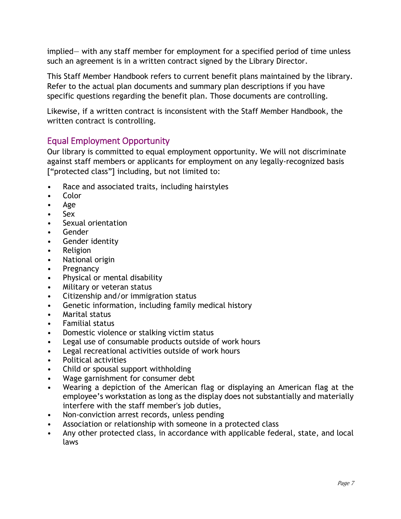implied— with any staff member for employment for a specified period of time unless such an agreement is in a written contract signed by the Library Director.

This Staff Member Handbook refers to current benefit plans maintained by the library. Refer to the actual plan documents and summary plan descriptions if you have specific questions regarding the benefit plan. Those documents are controlling.

Likewise, if a written contract is inconsistent with the Staff Member Handbook, the written contract is controlling.

# <span id="page-10-0"></span>Equal Employment Opportunity

Our library is committed to equal employment opportunity. We will not discriminate against staff members or applicants for employment on any legally-recognized basis ["protected class"] including, but not limited to:

- Race and associated traits, including hairstyles
- Color
- Age
- Sex
- Sexual orientation
- Gender
- Gender identity
- Religion
- National origin
- Pregnancy
- Physical or mental disability
- Military or veteran status
- Citizenship and/or immigration status
- Genetic information, including family medical history
- Marital status
- Familial status
- Domestic violence or stalking victim status
- Legal use of consumable products outside of work hours
- Legal recreational activities outside of work hours
- Political activities
- Child or spousal support withholding
- Wage garnishment for consumer debt
- Wearing a depiction of the American flag or displaying an American flag at the employee's workstation as long as the display does not substantially and materially interfere with the staff member's job duties,
- Non-conviction arrest records, unless pending
- Association or relationship with someone in a protected class
- Any other protected class, in accordance with applicable federal, state, and local laws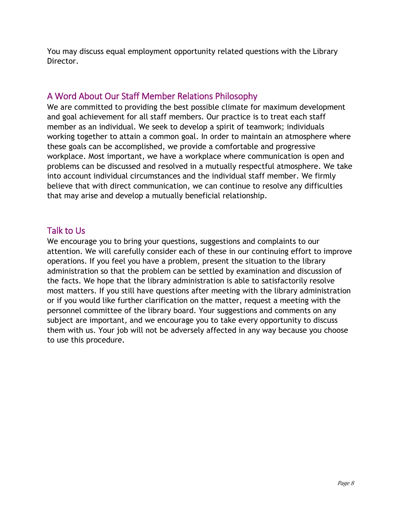You may discuss equal employment opportunity related questions with the Library Director.

# <span id="page-11-0"></span>A Word About Our Staff Member Relations Philosophy

We are committed to providing the best possible climate for maximum development and goal achievement for all staff members. Our practice is to treat each staff member as an individual. We seek to develop a spirit of teamwork; individuals working together to attain a common goal. In order to maintain an atmosphere where these goals can be accomplished, we provide a comfortable and progressive workplace. Most important, we have a workplace where communication is open and problems can be discussed and resolved in a mutually respectful atmosphere. We take into account individual circumstances and the individual staff member. We firmly believe that with direct communication, we can continue to resolve any difficulties that may arise and develop a mutually beneficial relationship.

# <span id="page-11-1"></span>Talk to Us

We encourage you to bring your questions, suggestions and complaints to our attention. We will carefully consider each of these in our continuing effort to improve operations. If you feel you have a problem, present the situation to the library administration so that the problem can be settled by examination and discussion of the facts. We hope that the library administration is able to satisfactorily resolve most matters. If you still have questions after meeting with the library administration or if you would like further clarification on the matter, request a meeting with the personnel committee of the library board. Your suggestions and comments on any subject are important, and we encourage you to take every opportunity to discuss them with us. Your job will not be adversely affected in any way because you choose to use this procedure.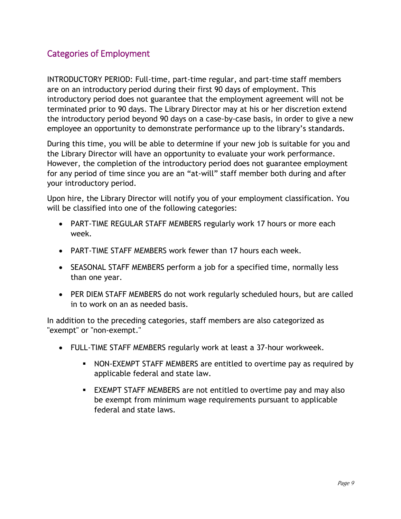# <span id="page-12-0"></span>Categories of Employment

INTRODUCTORY PERIOD: Full-time, part-time regular, and part-time staff members are on an introductory period during their first 90 days of employment. This introductory period does not guarantee that the employment agreement will not be terminated prior to 90 days. The Library Director may at his or her discretion extend the introductory period beyond 90 days on a case-by-case basis, in order to give a new employee an opportunity to demonstrate performance up to the library's standards.

During this time, you will be able to determine if your new job is suitable for you and the Library Director will have an opportunity to evaluate your work performance. However, the completion of the introductory period does not guarantee employment for any period of time since you are an "at-will" staff member both during and after your introductory period.

Upon hire, the Library Director will notify you of your employment classification. You will be classified into one of the following categories:

- PART-TIME REGULAR STAFF MEMBERS regularly work 17 hours or more each week.
- PART-TIME STAFF MEMBERS work fewer than 17 hours each week.
- SEASONAL STAFF MEMBERS perform a job for a specified time, normally less than one year.
- PER DIEM STAFF MEMBERS do not work regularly scheduled hours, but are called in to work on an as needed basis.

In addition to the preceding categories, staff members are also categorized as "exempt" or "non-exempt."

- FULL-TIME STAFF MEMBERS regularly work at least a 37-hour workweek.
	- NON-EXEMPT STAFF MEMBERS are entitled to overtime pay as required by applicable federal and state law.
	- EXEMPT STAFF MEMBERS are not entitled to overtime pay and may also be exempt from minimum wage requirements pursuant to applicable federal and state laws.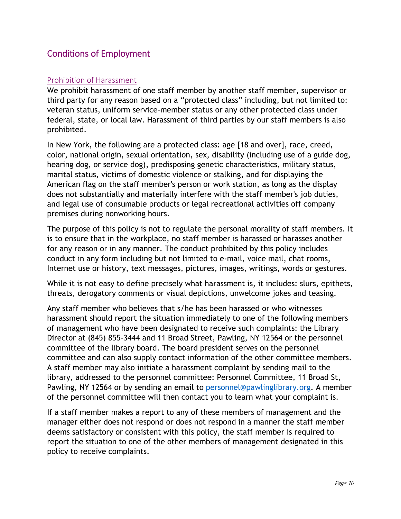# <span id="page-13-0"></span>Conditions of Employment

#### <span id="page-13-1"></span>Prohibition of Harassment

We prohibit harassment of one staff member by another staff member, supervisor or third party for any reason based on a "protected class" including, but not limited to: veteran status, uniform service-member status or any other protected class under federal, state, or local law. Harassment of third parties by our staff members is also prohibited.

In New York, the following are a protected class: age [18 and over], race, creed, color, national origin, sexual orientation, sex, disability (including use of a guide dog, hearing dog, or service dog), predisposing genetic characteristics, military status, marital status, victims of domestic violence or stalking, and for displaying the American flag on the staff member's person or work station, as long as the display does not substantially and materially interfere with the staff member's job duties, and legal use of consumable products or legal recreational activities off company premises during nonworking hours.

The purpose of this policy is not to regulate the personal morality of staff members. It is to ensure that in the workplace, no staff member is harassed or harasses another for any reason or in any manner. The conduct prohibited by this policy includes conduct in any form including but not limited to e-mail, voice mail, chat rooms, Internet use or history, text messages, pictures, images, writings, words or gestures.

While it is not easy to define precisely what harassment is, it includes: slurs, epithets, threats, derogatory comments or visual depictions, unwelcome jokes and teasing.

Any staff member who believes that s/he has been harassed or who witnesses harassment should report the situation immediately to one of the following members of management who have been designated to receive such complaints: the Library Director at (845) 855-3444 and 11 Broad Street, Pawling, NY 12564 or the personnel committee of the library board. The board president serves on the personnel committee and can also supply contact information of the other committee members. A staff member may also initiate a harassment complaint by sending mail to the library, addressed to the personnel committee: Personnel Committee, 11 Broad St, Pawling, NY 12564 or by sending an email to [personnel@pawlinglibrary.org.](mailto:personnel@pawlinglibrary.org) A member of the personnel committee will then contact you to learn what your complaint is.

If a staff member makes a report to any of these members of management and the manager either does not respond or does not respond in a manner the staff member deems satisfactory or consistent with this policy, the staff member is required to report the situation to one of the other members of management designated in this policy to receive complaints.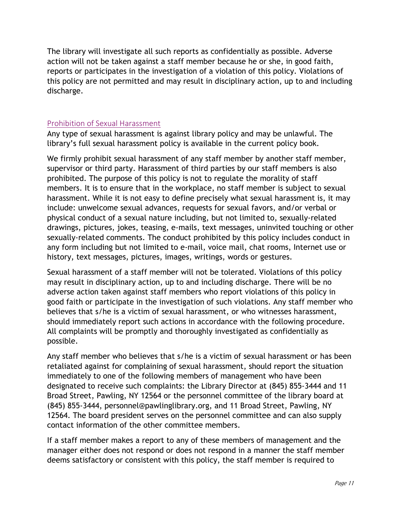The library will investigate all such reports as confidentially as possible. Adverse action will not be taken against a staff member because he or she, in good faith, reports or participates in the investigation of a violation of this policy. Violations of this policy are not permitted and may result in disciplinary action, up to and including discharge.

#### <span id="page-14-0"></span>Prohibition of Sexual Harassment

Any type of sexual harassment is against library policy and may be unlawful. The library's full sexual harassment policy is available in the current policy book.

We firmly prohibit sexual harassment of any staff member by another staff member, supervisor or third party. Harassment of third parties by our staff members is also prohibited. The purpose of this policy is not to regulate the morality of staff members. It is to ensure that in the workplace, no staff member is subject to sexual harassment. While it is not easy to define precisely what sexual harassment is, it may include: unwelcome sexual advances, requests for sexual favors, and/or verbal or physical conduct of a sexual nature including, but not limited to, sexually-related drawings, pictures, jokes, teasing, e-mails, text messages, uninvited touching or other sexually-related comments. The conduct prohibited by this policy includes conduct in any form including but not limited to e-mail, voice mail, chat rooms, Internet use or history, text messages, pictures, images, writings, words or gestures.

Sexual harassment of a staff member will not be tolerated. Violations of this policy may result in disciplinary action, up to and including discharge. There will be no adverse action taken against staff members who report violations of this policy in good faith or participate in the investigation of such violations. Any staff member who believes that s/he is a victim of sexual harassment, or who witnesses harassment, should immediately report such actions in accordance with the following procedure. All complaints will be promptly and thoroughly investigated as confidentially as possible.

Any staff member who believes that s/he is a victim of sexual harassment or has been retaliated against for complaining of sexual harassment, should report the situation immediately to one of the following members of management who have been designated to receive such complaints: the Library Director at (845) 855-3444 and 11 Broad Street, Pawling, NY 12564 or the personnel committee of the library board at (845) 855-3444, personnel@pawlinglibrary.org, and 11 Broad Street, Pawling, NY 12564. The board president serves on the personnel committee and can also supply contact information of the other committee members.

If a staff member makes a report to any of these members of management and the manager either does not respond or does not respond in a manner the staff member deems satisfactory or consistent with this policy, the staff member is required to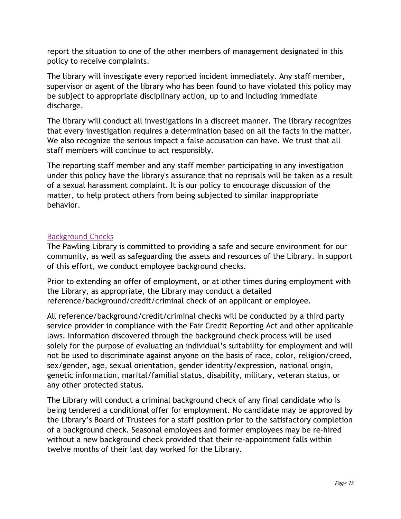report the situation to one of the other members of management designated in this policy to receive complaints.

The library will investigate every reported incident immediately. Any staff member, supervisor or agent of the library who has been found to have violated this policy may be subject to appropriate disciplinary action, up to and including immediate discharge.

The library will conduct all investigations in a discreet manner. The library recognizes that every investigation requires a determination based on all the facts in the matter. We also recognize the serious impact a false accusation can have. We trust that all staff members will continue to act responsibly.

The reporting staff member and any staff member participating in any investigation under this policy have the library's assurance that no reprisals will be taken as a result of a sexual harassment complaint. It is our policy to encourage discussion of the matter, to help protect others from being subjected to similar inappropriate behavior.

#### <span id="page-15-0"></span>**Background Checks**

The Pawling Library is committed to providing a safe and secure environment for our community, as well as safeguarding the assets and resources of the Library. In support of this effort, we conduct employee background checks.

Prior to extending an offer of employment, or at other times during employment with the Library, as appropriate, the Library may conduct a detailed reference/background/credit/criminal check of an applicant or employee.

All reference/background/credit/criminal checks will be conducted by a third party service provider in compliance with the Fair Credit Reporting Act and other applicable laws. Information discovered through the background check process will be used solely for the purpose of evaluating an individual's suitability for employment and will not be used to discriminate against anyone on the basis of race, color, religion/creed, sex/gender, age, sexual orientation, gender identity/expression, national origin, genetic information, marital/familial status, disability, military, veteran status, or any other protected status.

The Library will conduct a criminal background check of any final candidate who is being tendered a conditional offer for employment. No candidate may be approved by the Library's Board of Trustees for a staff position prior to the satisfactory completion of a background check. Seasonal employees and former employees may be re-hired without a new background check provided that their re-appointment falls within twelve months of their last day worked for the Library.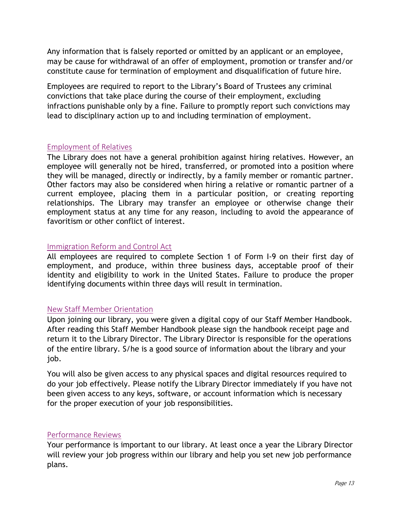Any information that is falsely reported or omitted by an applicant or an employee, may be cause for withdrawal of an offer of employment, promotion or transfer and/or constitute cause for termination of employment and disqualification of future hire.

Employees are required to report to the Library's Board of Trustees any criminal convictions that take place during the course of their employment, excluding infractions punishable only by a fine. Failure to promptly report such convictions may lead to disciplinary action up to and including termination of employment.

#### <span id="page-16-0"></span>Employment of Relatives

The Library does not have a general prohibition against hiring relatives. However, an employee will generally not be hired, transferred, or promoted into a position where they will be managed, directly or indirectly, by a family member or romantic partner. Other factors may also be considered when hiring a relative or romantic partner of a current employee, placing them in a particular position, or creating reporting relationships. The Library may transfer an employee or otherwise change their employment status at any time for any reason, including to avoid the appearance of favoritism or other conflict of interest.

#### <span id="page-16-1"></span>Immigration Reform and Control Act

All employees are required to complete Section 1 of Form I-9 on their first day of employment, and produce, within three business days, acceptable proof of their identity and eligibility to work in the United States. Failure to produce the proper identifying documents within three days will result in termination.

#### <span id="page-16-2"></span>New Staff Member Orientation

Upon joining our library, you were given a digital copy of our Staff Member Handbook. After reading this Staff Member Handbook please sign the handbook receipt page and return it to the Library Director. The Library Director is responsible for the operations of the entire library. S/he is a good source of information about the library and your job.

You will also be given access to any physical spaces and digital resources required to do your job effectively. Please notify the Library Director immediately if you have not been given access to any keys, software, or account information which is necessary for the proper execution of your job responsibilities.

#### <span id="page-16-3"></span>Performance Reviews

Your performance is important to our library. At least once a year the Library Director will review your job progress within our library and help you set new job performance plans.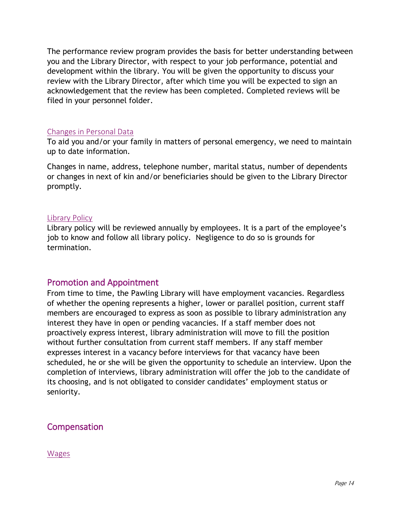The performance review program provides the basis for better understanding between you and the Library Director, with respect to your job performance, potential and development within the library. You will be given the opportunity to discuss your review with the Library Director, after which time you will be expected to sign an acknowledgement that the review has been completed. Completed reviews will be filed in your personnel folder.

#### <span id="page-17-0"></span>Changes in Personal Data

To aid you and/or your family in matters of personal emergency, we need to maintain up to date information.

Changes in name, address, telephone number, marital status, number of dependents or changes in next of kin and/or beneficiaries should be given to the Library Director promptly.

#### <span id="page-17-1"></span>Library Policy

Library policy will be reviewed annually by employees. It is a part of the employee's job to know and follow all library policy. Negligence to do so is grounds for termination.

#### <span id="page-17-2"></span>Promotion and Appointment

From time to time, the Pawling Library will have employment vacancies. Regardless of whether the opening represents a higher, lower or parallel position, current staff members are encouraged to express as soon as possible to library administration any interest they have in open or pending vacancies. If a staff member does not proactively express interest, library administration will move to fill the position without further consultation from current staff members. If any staff member expresses interest in a vacancy before interviews for that vacancy have been scheduled, he or she will be given the opportunity to schedule an interview. Upon the completion of interviews, library administration will offer the job to the candidate of its choosing, and is not obligated to consider candidates' employment status or seniority.

# <span id="page-17-3"></span>Compensation

<span id="page-17-4"></span>Wages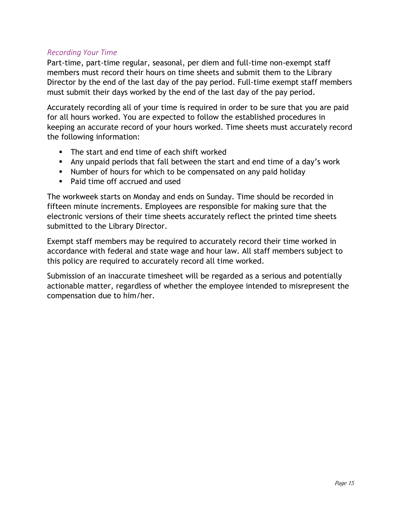#### <span id="page-18-0"></span>*Recording Your Time*

Part-time, part-time regular, seasonal, per diem and full-time non-exempt staff members must record their hours on time sheets and submit them to the Library Director by the end of the last day of the pay period. Full-time exempt staff members must submit their days worked by the end of the last day of the pay period.

Accurately recording all of your time is required in order to be sure that you are paid for all hours worked. You are expected to follow the established procedures in keeping an accurate record of your hours worked. Time sheets must accurately record the following information:

- **The start and end time of each shift worked**
- Any unpaid periods that fall between the start and end time of a day's work
- Number of hours for which to be compensated on any paid holiday
- Paid time off accrued and used

The workweek starts on Monday and ends on Sunday. Time should be recorded in fifteen minute increments. Employees are responsible for making sure that the electronic versions of their time sheets accurately reflect the printed time sheets submitted to the Library Director.

Exempt staff members may be required to accurately record their time worked in accordance with federal and state wage and hour law. All staff members subject to this policy are required to accurately record all time worked.

Submission of an inaccurate timesheet will be regarded as a serious and potentially actionable matter, regardless of whether the employee intended to misrepresent the compensation due to him/her.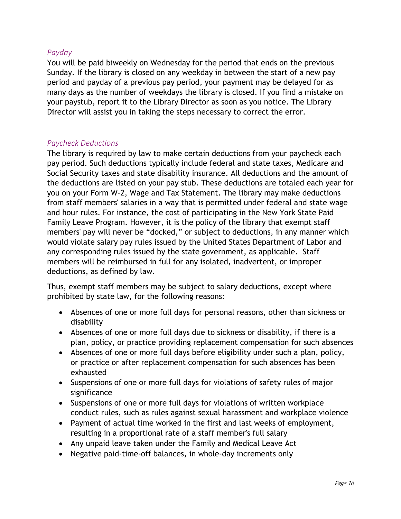#### <span id="page-19-0"></span>*Payday*

You will be paid biweekly on Wednesday for the period that ends on the previous Sunday. If the library is closed on any weekday in between the start of a new pay period and payday of a previous pay period, your payment may be delayed for as many days as the number of weekdays the library is closed. If you find a mistake on your paystub, report it to the Library Director as soon as you notice. The Library Director will assist you in taking the steps necessary to correct the error.

#### <span id="page-19-1"></span>*Paycheck Deductions*

The library is required by law to make certain deductions from your paycheck each pay period. Such deductions typically include federal and state taxes, Medicare and Social Security taxes and state disability insurance. All deductions and the amount of the deductions are listed on your pay stub. These deductions are totaled each year for you on your Form W-2, Wage and Tax Statement. The library may make deductions from staff members' salaries in a way that is permitted under federal and state wage and hour rules. For instance, the cost of participating in the New York State Paid Family Leave Program. However, it is the policy of the library that exempt staff members' pay will never be "docked," or subject to deductions, in any manner which would violate salary pay rules issued by the United States Department of Labor and any corresponding rules issued by the state government, as applicable. Staff members will be reimbursed in full for any isolated, inadvertent, or improper deductions, as defined by law.

Thus, exempt staff members may be subject to salary deductions, except where prohibited by state law, for the following reasons:

- Absences of one or more full days for personal reasons, other than sickness or disability
- Absences of one or more full days due to sickness or disability, if there is a plan, policy, or practice providing replacement compensation for such absences
- Absences of one or more full days before eligibility under such a plan, policy, or practice or after replacement compensation for such absences has been exhausted
- Suspensions of one or more full days for violations of safety rules of major significance
- Suspensions of one or more full days for violations of written workplace conduct rules, such as rules against sexual harassment and workplace violence
- Payment of actual time worked in the first and last weeks of employment, resulting in a proportional rate of a staff member's full salary
- Any unpaid leave taken under the Family and Medical Leave Act
- Negative paid-time-off balances, in whole-day increments only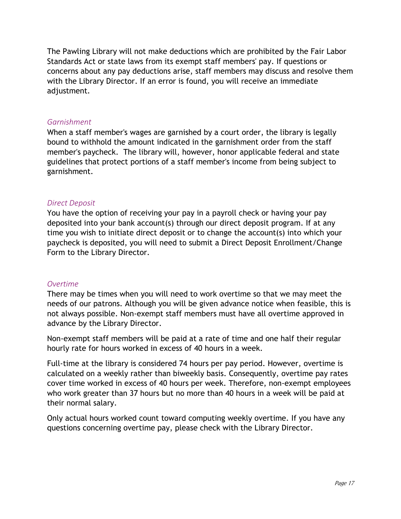The Pawling Library will not make deductions which are prohibited by the Fair Labor Standards Act or state laws from its exempt staff members' pay. If questions or concerns about any pay deductions arise, staff members may discuss and resolve them with the Library Director. If an error is found, you will receive an immediate adjustment.

#### <span id="page-20-0"></span>*Garnishment*

When a staff member's wages are garnished by a court order, the library is legally bound to withhold the amount indicated in the garnishment order from the staff member's paycheck. The library will, however, honor applicable federal and state guidelines that protect portions of a staff member's income from being subject to garnishment.

#### <span id="page-20-1"></span>*Direct Deposit*

You have the option of receiving your pay in a payroll check or having your pay deposited into your bank account(s) through our direct deposit program. If at any time you wish to initiate direct deposit or to change the account(s) into which your paycheck is deposited, you will need to submit a Direct Deposit Enrollment/Change Form to the Library Director.

#### <span id="page-20-2"></span>*Overtime*

There may be times when you will need to work overtime so that we may meet the needs of our patrons. Although you will be given advance notice when feasible, this is not always possible. Non-exempt staff members must have all overtime approved in advance by the Library Director.

Non-exempt staff members will be paid at a rate of time and one half their regular hourly rate for hours worked in excess of 40 hours in a week.

Full-time at the library is considered 74 hours per pay period. However, overtime is calculated on a weekly rather than biweekly basis. Consequently, overtime pay rates cover time worked in excess of 40 hours per week. Therefore, non-exempt employees who work greater than 37 hours but no more than 40 hours in a week will be paid at their normal salary.

Only actual hours worked count toward computing weekly overtime. If you have any questions concerning overtime pay, please check with the Library Director.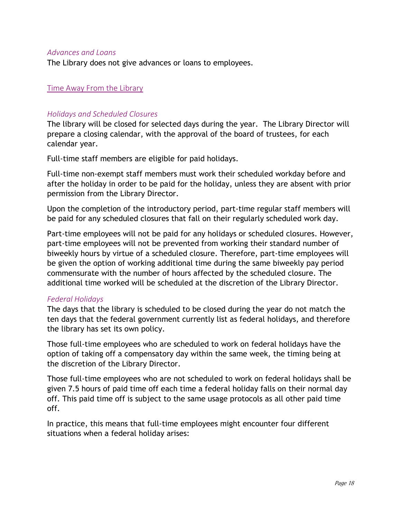#### <span id="page-21-0"></span>*Advances and Loans*

The Library does not give advances or loans to employees.

#### <span id="page-21-1"></span>Time Away From the Library

#### <span id="page-21-2"></span>*Holidays and Scheduled Closures*

The library will be closed for selected days during the year. The Library Director will prepare a closing calendar, with the approval of the board of trustees, for each calendar year.

Full-time staff members are eligible for paid holidays.

Full-time non-exempt staff members must work their scheduled workday before and after the holiday in order to be paid for the holiday, unless they are absent with prior permission from the Library Director.

Upon the completion of the introductory period, part-time regular staff members will be paid for any scheduled closures that fall on their regularly scheduled work day.

Part-time employees will not be paid for any holidays or scheduled closures. However, part-time employees will not be prevented from working their standard number of biweekly hours by virtue of a scheduled closure. Therefore, part-time employees will be given the option of working additional time during the same biweekly pay period commensurate with the number of hours affected by the scheduled closure. The additional time worked will be scheduled at the discretion of the Library Director.

#### <span id="page-21-3"></span>*Federal Holidays*

The days that the library is scheduled to be closed during the year do not match the ten days that the federal government currently list as federal holidays, and therefore the library has set its own policy.

Those full-time employees who are scheduled to work on federal holidays have the option of taking off a compensatory day within the same week, the timing being at the discretion of the Library Director.

Those full-time employees who are not scheduled to work on federal holidays shall be given 7.5 hours of paid time off each time a federal holiday falls on their normal day off. This paid time off is subject to the same usage protocols as all other paid time off.

In practice, this means that full-time employees might encounter four different situations when a federal holiday arises: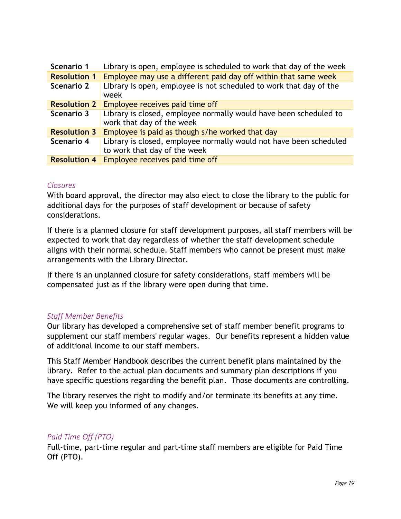| Scenario 1          | Library is open, employee is scheduled to work that day of the week                            |
|---------------------|------------------------------------------------------------------------------------------------|
| <b>Resolution 1</b> | Employee may use a different paid day off within that same week                                |
| Scenario 2          | Library is open, employee is not scheduled to work that day of the<br>week                     |
| <b>Resolution 2</b> | Employee receives paid time off                                                                |
| Scenario 3          | Library is closed, employee normally would have been scheduled to<br>work that day of the week |
| <b>Resolution 3</b> | Employee is paid as though s/he worked that day                                                |
| Scenario 4          | Library is closed, employee normally would not have been scheduled                             |
|                     | to work that day of the week                                                                   |
| <b>Resolution 4</b> | Employee receives paid time off                                                                |

#### <span id="page-22-0"></span>*Closures*

With board approval, the director may also elect to close the library to the public for additional days for the purposes of staff development or because of safety considerations.

If there is a planned closure for staff development purposes, all staff members will be expected to work that day regardless of whether the staff development schedule aligns with their normal schedule. Staff members who cannot be present must make arrangements with the Library Director.

If there is an unplanned closure for safety considerations, staff members will be compensated just as if the library were open during that time.

#### <span id="page-22-1"></span>*Staff Member Benefits*

Our library has developed a comprehensive set of staff member benefit programs to supplement our staff members' regular wages. Our benefits represent a hidden value of additional income to our staff members.

This Staff Member Handbook describes the current benefit plans maintained by the library. Refer to the actual plan documents and summary plan descriptions if you have specific questions regarding the benefit plan. Those documents are controlling.

The library reserves the right to modify and/or terminate its benefits at any time. We will keep you informed of any changes.

#### <span id="page-22-2"></span>*Paid Time Off (PTO)*

Full-time, part-time regular and part-time staff members are eligible for Paid Time Off (PTO).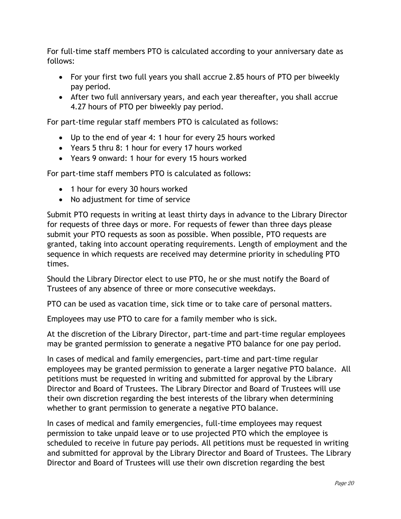For full-time staff members PTO is calculated according to your anniversary date as follows:

- For your first two full years you shall accrue 2.85 hours of PTO per biweekly pay period.
- After two full anniversary years, and each year thereafter, you shall accrue 4.27 hours of PTO per biweekly pay period.

For part-time regular staff members PTO is calculated as follows:

- Up to the end of year 4: 1 hour for every 25 hours worked
- Years 5 thru 8: 1 hour for every 17 hours worked
- Years 9 onward: 1 hour for every 15 hours worked

For part-time staff members PTO is calculated as follows:

- 1 hour for every 30 hours worked
- No adjustment for time of service

Submit PTO requests in writing at least thirty days in advance to the Library Director for requests of three days or more. For requests of fewer than three days please submit your PTO requests as soon as possible. When possible, PTO requests are granted, taking into account operating requirements. Length of employment and the sequence in which requests are received may determine priority in scheduling PTO times.

Should the Library Director elect to use PTO, he or she must notify the Board of Trustees of any absence of three or more consecutive weekdays.

PTO can be used as vacation time, sick time or to take care of personal matters.

Employees may use PTO to care for a family member who is sick.

At the discretion of the Library Director, part-time and part-time regular employees may be granted permission to generate a negative PTO balance for one pay period.

In cases of medical and family emergencies, part-time and part-time regular employees may be granted permission to generate a larger negative PTO balance. All petitions must be requested in writing and submitted for approval by the Library Director and Board of Trustees. The Library Director and Board of Trustees will use their own discretion regarding the best interests of the library when determining whether to grant permission to generate a negative PTO balance.

In cases of medical and family emergencies, full-time employees may request permission to take unpaid leave or to use projected PTO which the employee is scheduled to receive in future pay periods. All petitions must be requested in writing and submitted for approval by the Library Director and Board of Trustees. The Library Director and Board of Trustees will use their own discretion regarding the best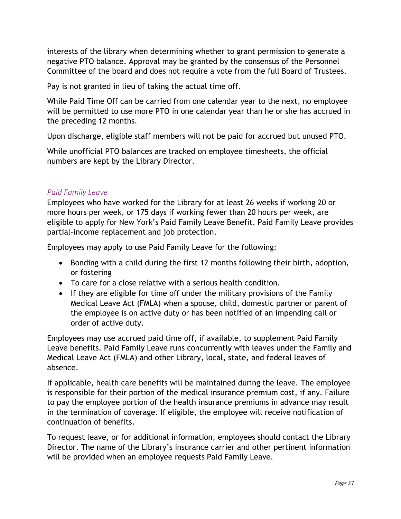interests of the library when determining whether to grant permission to generate a negative PTO balance. Approval may be granted by the consensus of the Personnel Committee of the board and does not require a vote from the full Board of Trustees.

Pay is not granted in lieu of taking the actual time off.

While Paid Time Off can be carried from one calendar year to the next, no employee will be permitted to use more PTO in one calendar year than he or she has accrued in the preceding 12 months.

Upon discharge, eligible staff members will not be paid for accrued but unused PTO.

While unofficial PTO balances are tracked on employee timesheets, the official numbers are kept by the Library Director.

#### <span id="page-24-0"></span>*Paid Family Leave*

Employees who have worked for the Library for at least 26 weeks if working 20 or more hours per week, or 175 days if working fewer than 20 hours per week, are eligible to apply for New York's Paid Family Leave Benefit. Paid Family Leave provides partial-income replacement and job protection.

Employees may apply to use Paid Family Leave for the following:

- Bonding with a child during the first 12 months following their birth, adoption, or fostering
- To care for a close relative with a serious health condition.
- If they are eligible for time off under the military provisions of the Family Medical Leave Act (FMLA) when a spouse, child, domestic partner or parent of the employee is on active duty or has been notified of an impending call or order of active duty.

Employees may use accrued paid time off, if available, to supplement Paid Family Leave benefits. Paid Family Leave runs concurrently with leaves under the Family and Medical Leave Act (FMLA) and other Library, local, state, and federal leaves of absence.

If applicable, health care benefits will be maintained during the leave. The employee is responsible for their portion of the medical insurance premium cost, if any. Failure to pay the employee portion of the health insurance premiums in advance may result in the termination of coverage. If eligible, the employee will receive notification of continuation of benefits.

To request leave, or for additional information, employees should contact the Library Director. The name of the Library's insurance carrier and other pertinent information will be provided when an employee requests Paid Family Leave.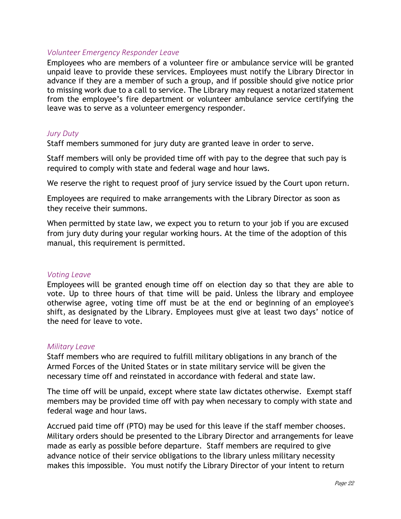#### <span id="page-25-0"></span>*Volunteer Emergency Responder Leave*

Employees who are members of a volunteer fire or ambulance service will be granted unpaid leave to provide these services. Employees must notify the Library Director in advance if they are a member of such a group, and if possible should give notice prior to missing work due to a call to service. The Library may request a notarized statement from the employee's fire department or volunteer ambulance service certifying the leave was to serve as a volunteer emergency responder.

#### <span id="page-25-1"></span>*Jury Duty*

Staff members summoned for jury duty are granted leave in order to serve.

Staff members will only be provided time off with pay to the degree that such pay is required to comply with state and federal wage and hour laws.

We reserve the right to request proof of jury service issued by the Court upon return.

Employees are required to make arrangements with the Library Director as soon as they receive their summons.

When permitted by state law, we expect you to return to your job if you are excused from jury duty during your regular working hours. At the time of the adoption of this manual, this requirement is permitted.

#### <span id="page-25-2"></span>*Voting Leave*

Employees will be granted enough time off on election day so that they are able to vote. Up to three hours of that time will be paid. Unless the library and employee otherwise agree, voting time off must be at the end or beginning of an employee's shift, as designated by the Library. Employees must give at least two days' notice of the need for leave to vote.

#### <span id="page-25-3"></span>*Military Leave*

Staff members who are required to fulfill military obligations in any branch of the Armed Forces of the United States or in state military service will be given the necessary time off and reinstated in accordance with federal and state law.

The time off will be unpaid, except where state law dictates otherwise. Exempt staff members may be provided time off with pay when necessary to comply with state and federal wage and hour laws.

Accrued paid time off (PTO) may be used for this leave if the staff member chooses. Military orders should be presented to the Library Director and arrangements for leave made as early as possible before departure. Staff members are required to give advance notice of their service obligations to the library unless military necessity makes this impossible. You must notify the Library Director of your intent to return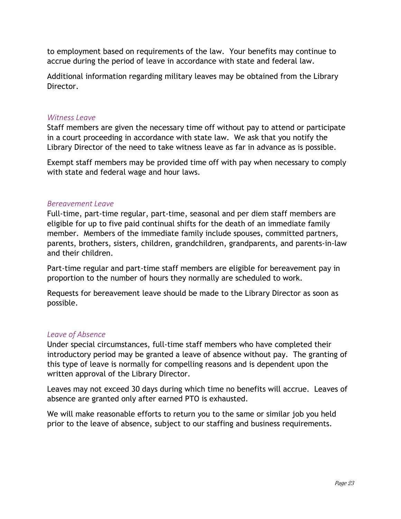to employment based on requirements of the law. Your benefits may continue to accrue during the period of leave in accordance with state and federal law.

Additional information regarding military leaves may be obtained from the Library Director.

#### <span id="page-26-0"></span>*Witness Leave*

Staff members are given the necessary time off without pay to attend or participate in a court proceeding in accordance with state law. We ask that you notify the Library Director of the need to take witness leave as far in advance as is possible.

Exempt staff members may be provided time off with pay when necessary to comply with state and federal wage and hour laws.

#### <span id="page-26-1"></span>*Bereavement Leave*

Full-time, part-time regular, part-time, seasonal and per diem staff members are eligible for up to five paid continual shifts for the death of an immediate family member. Members of the immediate family include spouses, committed partners, parents, brothers, sisters, children, grandchildren, grandparents, and parents-in-law and their children.

Part-time regular and part-time staff members are eligible for bereavement pay in proportion to the number of hours they normally are scheduled to work.

Requests for bereavement leave should be made to the Library Director as soon as possible.

#### <span id="page-26-2"></span>*Leave of Absence*

Under special circumstances, full-time staff members who have completed their introductory period may be granted a leave of absence without pay. The granting of this type of leave is normally for compelling reasons and is dependent upon the written approval of the Library Director.

Leaves may not exceed 30 days during which time no benefits will accrue. Leaves of absence are granted only after earned PTO is exhausted.

We will make reasonable efforts to return you to the same or similar job you held prior to the leave of absence, subject to our staffing and business requirements.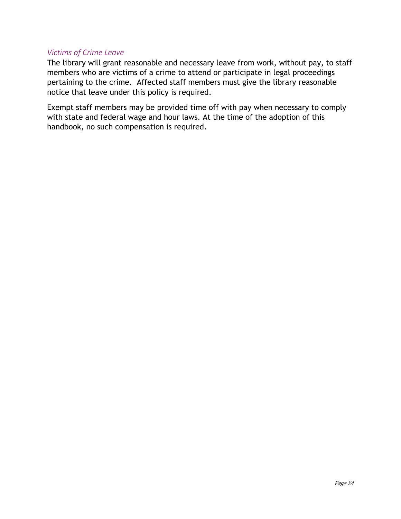#### <span id="page-27-0"></span>*Victims of Crime Leave*

The library will grant reasonable and necessary leave from work, without pay, to staff members who are victims of a crime to attend or participate in legal proceedings pertaining to the crime. Affected staff members must give the library reasonable notice that leave under this policy is required.

Exempt staff members may be provided time off with pay when necessary to comply with state and federal wage and hour laws. At the time of the adoption of this handbook, no such compensation is required.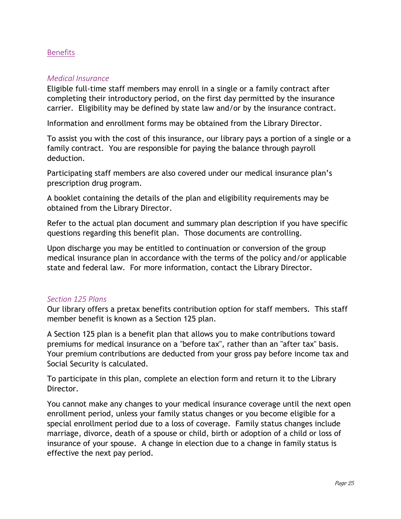#### <span id="page-28-0"></span>**Benefits**

#### <span id="page-28-1"></span>*Medical Insurance*

Eligible full-time staff members may enroll in a single or a family contract after completing their introductory period, on the first day permitted by the insurance carrier. Eligibility may be defined by state law and/or by the insurance contract.

Information and enrollment forms may be obtained from the Library Director.

To assist you with the cost of this insurance, our library pays a portion of a single or a family contract. You are responsible for paying the balance through payroll deduction.

Participating staff members are also covered under our medical insurance plan's prescription drug program.

A booklet containing the details of the plan and eligibility requirements may be obtained from the Library Director.

Refer to the actual plan document and summary plan description if you have specific questions regarding this benefit plan. Those documents are controlling.

Upon discharge you may be entitled to continuation or conversion of the group medical insurance plan in accordance with the terms of the policy and/or applicable state and federal law. For more information, contact the Library Director.

#### <span id="page-28-2"></span>*Section 125 Plans*

Our library offers a pretax benefits contribution option for staff members. This staff member benefit is known as a Section 125 plan.

A Section 125 plan is a benefit plan that allows you to make contributions toward premiums for medical insurance on a "before tax", rather than an "after tax" basis. Your premium contributions are deducted from your gross pay before income tax and Social Security is calculated.

To participate in this plan, complete an election form and return it to the Library Director.

You cannot make any changes to your medical insurance coverage until the next open enrollment period, unless your family status changes or you become eligible for a special enrollment period due to a loss of coverage. Family status changes include marriage, divorce, death of a spouse or child, birth or adoption of a child or loss of insurance of your spouse. A change in election due to a change in family status is effective the next pay period.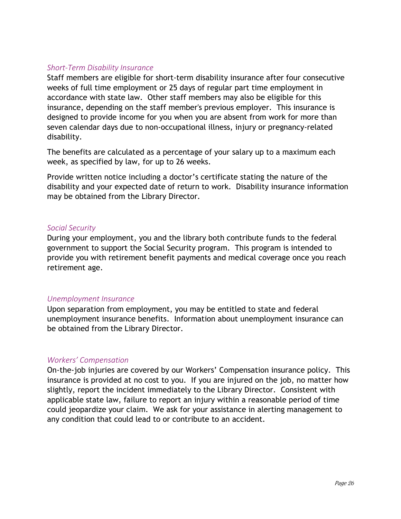#### <span id="page-29-0"></span>*Short-Term Disability Insurance*

Staff members are eligible for short-term disability insurance after four consecutive weeks of full time employment or 25 days of regular part time employment in accordance with state law. Other staff members may also be eligible for this insurance, depending on the staff member's previous employer. This insurance is designed to provide income for you when you are absent from work for more than seven calendar days due to non-occupational illness, injury or pregnancy-related disability.

The benefits are calculated as a percentage of your salary up to a maximum each week, as specified by law, for up to 26 weeks.

Provide written notice including a doctor's certificate stating the nature of the disability and your expected date of return to work. Disability insurance information may be obtained from the Library Director.

#### <span id="page-29-1"></span>*Social Security*

During your employment, you and the library both contribute funds to the federal government to support the Social Security program. This program is intended to provide you with retirement benefit payments and medical coverage once you reach retirement age.

#### <span id="page-29-2"></span>*Unemployment Insurance*

Upon separation from employment, you may be entitled to state and federal unemployment insurance benefits. Information about unemployment insurance can be obtained from the Library Director.

#### <span id="page-29-3"></span>*Workers' Compensation*

On-the-job injuries are covered by our Workers' Compensation insurance policy. This insurance is provided at no cost to you. If you are injured on the job, no matter how slightly, report the incident immediately to the Library Director. Consistent with applicable state law, failure to report an injury within a reasonable period of time could jeopardize your claim. We ask for your assistance in alerting management to any condition that could lead to or contribute to an accident.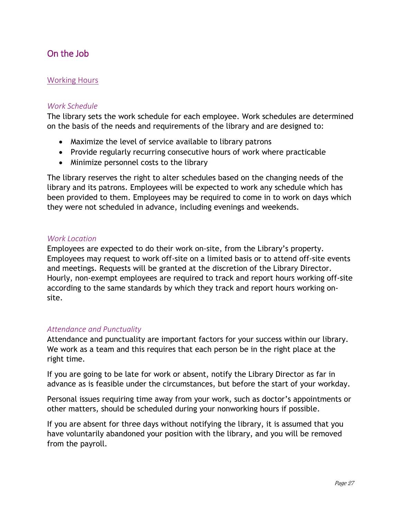# <span id="page-30-0"></span>On the Job

#### <span id="page-30-1"></span>Working Hours

#### <span id="page-30-2"></span>*Work Schedule*

The library sets the work schedule for each employee. Work schedules are determined on the basis of the needs and requirements of the library and are designed to:

- Maximize the level of service available to library patrons
- Provide regularly recurring consecutive hours of work where practicable
- Minimize personnel costs to the library

The library reserves the right to alter schedules based on the changing needs of the library and its patrons. Employees will be expected to work any schedule which has been provided to them. Employees may be required to come in to work on days which they were not scheduled in advance, including evenings and weekends.

#### <span id="page-30-3"></span>*Work Location*

Employees are expected to do their work on-site, from the Library's property. Employees may request to work off-site on a limited basis or to attend off-site events and meetings. Requests will be granted at the discretion of the Library Director. Hourly, non-exempt employees are required to track and report hours working off-site according to the same standards by which they track and report hours working onsite.

#### <span id="page-30-4"></span>*Attendance and Punctuality*

Attendance and punctuality are important factors for your success within our library. We work as a team and this requires that each person be in the right place at the right time.

If you are going to be late for work or absent, notify the Library Director as far in advance as is feasible under the circumstances, but before the start of your workday.

Personal issues requiring time away from your work, such as doctor's appointments or other matters, should be scheduled during your nonworking hours if possible.

If you are absent for three days without notifying the library, it is assumed that you have voluntarily abandoned your position with the library, and you will be removed from the payroll.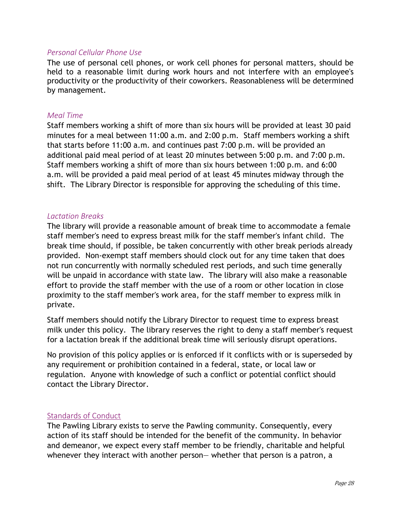#### <span id="page-31-0"></span>*Personal Cellular Phone Use*

The use of personal cell phones, or work cell phones for personal matters, should be held to a reasonable limit during work hours and not interfere with an employee's productivity or the productivity of their coworkers. Reasonableness will be determined by management.

#### <span id="page-31-1"></span>*Meal Time*

Staff members working a shift of more than six hours will be provided at least 30 paid minutes for a meal between 11:00 a.m. and 2:00 p.m. Staff members working a shift that starts before 11:00 a.m. and continues past 7:00 p.m. will be provided an additional paid meal period of at least 20 minutes between 5:00 p.m. and 7:00 p.m. Staff members working a shift of more than six hours between 1:00 p.m. and 6:00 a.m. will be provided a paid meal period of at least 45 minutes midway through the shift. The Library Director is responsible for approving the scheduling of this time.

#### <span id="page-31-2"></span>*Lactation Breaks*

The library will provide a reasonable amount of break time to accommodate a female staff member's need to express breast milk for the staff member's infant child. The break time should, if possible, be taken concurrently with other break periods already provided. Non-exempt staff members should clock out for any time taken that does not run concurrently with normally scheduled rest periods, and such time generally will be unpaid in accordance with state law. The library will also make a reasonable effort to provide the staff member with the use of a room or other location in close proximity to the staff member's work area, for the staff member to express milk in private.

Staff members should notify the Library Director to request time to express breast milk under this policy. The library reserves the right to deny a staff member's request for a lactation break if the additional break time will seriously disrupt operations.

No provision of this policy applies or is enforced if it conflicts with or is superseded by any requirement or prohibition contained in a federal, state, or local law or regulation. Anyone with knowledge of such a conflict or potential conflict should contact the Library Director.

#### <span id="page-31-3"></span>Standards of Conduct

The Pawling Library exists to serve the Pawling community. Consequently, every action of its staff should be intended for the benefit of the community. In behavior and demeanor, we expect every staff member to be friendly, charitable and helpful whenever they interact with another person— whether that person is a patron, a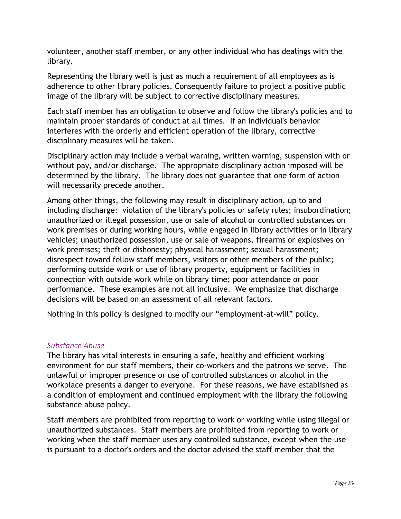volunteer, another staff member, or any other individual who has dealings with the library.

Representing the library well is just as much a requirement of all employees as is adherence to other library policies. Consequently failure to project a positive public image of the library will be subject to corrective disciplinary measures.

Each staff member has an obligation to observe and follow the library's policies and to maintain proper standards of conduct at all times. If an individual's behavior interferes with the orderly and efficient operation of the library, corrective disciplinary measures will be taken.

Disciplinary action may include a verbal warning, written warning, suspension with or without pay, and/or discharge. The appropriate disciplinary action imposed will be determined by the library. The library does not guarantee that one form of action will necessarily precede another.

Among other things, the following may result in disciplinary action, up to and including discharge: violation of the library's policies or safety rules; insubordination; unauthorized or illegal possession, use or sale of alcohol or controlled substances on work premises or during working hours, while engaged in library activities or in library vehicles; unauthorized possession, use or sale of weapons, firearms or explosives on work premises; theft or dishonesty; physical harassment; sexual harassment; disrespect toward fellow staff members, visitors or other members of the public; performing outside work or use of library property, equipment or facilities in connection with outside work while on library time; poor attendance or poor performance. These examples are not all inclusive. We emphasize that discharge decisions will be based on an assessment of all relevant factors.

Nothing in this policy is designed to modify our "employment-at-will" policy.

#### <span id="page-32-0"></span>*Substance Abuse*

The library has vital interests in ensuring a safe, healthy and efficient working environment for our staff members, their co-workers and the patrons we serve. The unlawful or improper presence or use of controlled substances or alcohol in the workplace presents a danger to everyone. For these reasons, we have established as a condition of employment and continued employment with the library the following substance abuse policy.

Staff members are prohibited from reporting to work or working while using illegal or unauthorized substances. Staff members are prohibited from reporting to work or working when the staff member uses any controlled substance, except when the use is pursuant to a doctor's orders and the doctor advised the staff member that the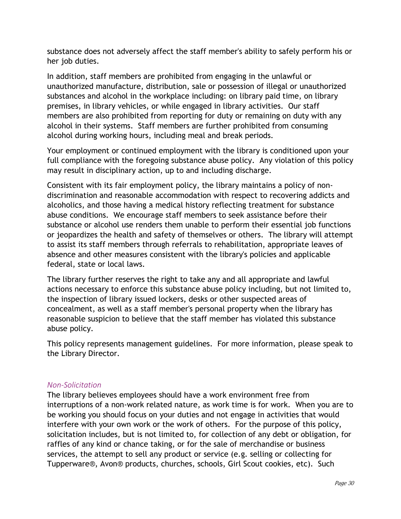substance does not adversely affect the staff member's ability to safely perform his or her job duties.

In addition, staff members are prohibited from engaging in the unlawful or unauthorized manufacture, distribution, sale or possession of illegal or unauthorized substances and alcohol in the workplace including: on library paid time, on library premises, in library vehicles, or while engaged in library activities. Our staff members are also prohibited from reporting for duty or remaining on duty with any alcohol in their systems. Staff members are further prohibited from consuming alcohol during working hours, including meal and break periods.

Your employment or continued employment with the library is conditioned upon your full compliance with the foregoing substance abuse policy. Any violation of this policy may result in disciplinary action, up to and including discharge.

Consistent with its fair employment policy, the library maintains a policy of nondiscrimination and reasonable accommodation with respect to recovering addicts and alcoholics, and those having a medical history reflecting treatment for substance abuse conditions. We encourage staff members to seek assistance before their substance or alcohol use renders them unable to perform their essential job functions or jeopardizes the health and safety of themselves or others. The library will attempt to assist its staff members through referrals to rehabilitation, appropriate leaves of absence and other measures consistent with the library's policies and applicable federal, state or local laws.

The library further reserves the right to take any and all appropriate and lawful actions necessary to enforce this substance abuse policy including, but not limited to, the inspection of library issued lockers, desks or other suspected areas of concealment, as well as a staff member's personal property when the library has reasonable suspicion to believe that the staff member has violated this substance abuse policy.

This policy represents management guidelines. For more information, please speak to the Library Director.

#### <span id="page-33-0"></span>*Non-Solicitation*

The library believes employees should have a work environment free from interruptions of a non-work related nature, as work time is for work. When you are to be working you should focus on your duties and not engage in activities that would interfere with your own work or the work of others. For the purpose of this policy, solicitation includes, but is not limited to, for collection of any debt or obligation, for raffles of any kind or chance taking, or for the sale of merchandise or business services, the attempt to sell any product or service (e.g. selling or collecting for Tupperware®, Avon® products, churches, schools, Girl Scout cookies, etc). Such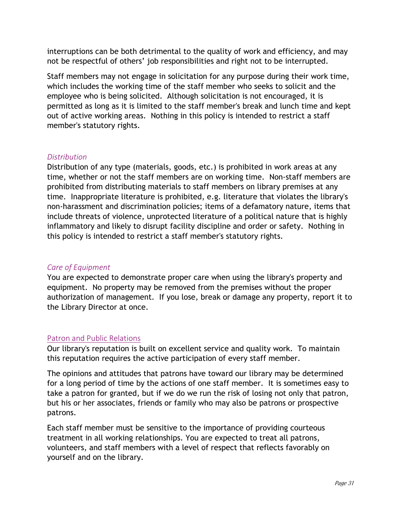interruptions can be both detrimental to the quality of work and efficiency, and may not be respectful of others' job responsibilities and right not to be interrupted.

Staff members may not engage in solicitation for any purpose during their work time, which includes the working time of the staff member who seeks to solicit and the employee who is being solicited. Although solicitation is not encouraged, it is permitted as long as it is limited to the staff member's break and lunch time and kept out of active working areas. Nothing in this policy is intended to restrict a staff member's statutory rights.

#### <span id="page-34-0"></span>*Distribution*

Distribution of any type (materials, goods, etc.) is prohibited in work areas at any time, whether or not the staff members are on working time. Non-staff members are prohibited from distributing materials to staff members on library premises at any time. Inappropriate literature is prohibited, e.g. literature that violates the library's non-harassment and discrimination policies; items of a defamatory nature, items that include threats of violence, unprotected literature of a political nature that is highly inflammatory and likely to disrupt facility discipline and order or safety. Nothing in this policy is intended to restrict a staff member's statutory rights.

#### <span id="page-34-1"></span>*Care of Equipment*

You are expected to demonstrate proper care when using the library's property and equipment. No property may be removed from the premises without the proper authorization of management. If you lose, break or damage any property, report it to the Library Director at once.

#### <span id="page-34-2"></span>Patron and Public Relations

Our library's reputation is built on excellent service and quality work. To maintain this reputation requires the active participation of every staff member.

The opinions and attitudes that patrons have toward our library may be determined for a long period of time by the actions of one staff member. It is sometimes easy to take a patron for granted, but if we do we run the risk of losing not only that patron, but his or her associates, friends or family who may also be patrons or prospective patrons.

Each staff member must be sensitive to the importance of providing courteous treatment in all working relationships. You are expected to treat all patrons, volunteers, and staff members with a level of respect that reflects favorably on yourself and on the library.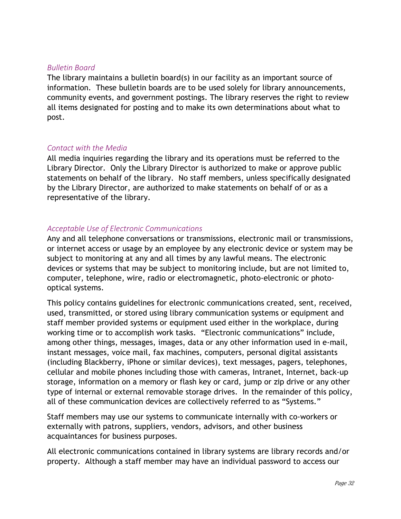#### <span id="page-35-0"></span>*Bulletin Board*

The library maintains a bulletin board(s) in our facility as an important source of information. These bulletin boards are to be used solely for library announcements, community events, and government postings. The library reserves the right to review all items designated for posting and to make its own determinations about what to post.

#### <span id="page-35-1"></span>*Contact with the Media*

All media inquiries regarding the library and its operations must be referred to the Library Director. Only the Library Director is authorized to make or approve public statements on behalf of the library. No staff members, unless specifically designated by the Library Director, are authorized to make statements on behalf of or as a representative of the library.

#### <span id="page-35-2"></span>*Acceptable Use of Electronic Communications*

Any and all telephone conversations or transmissions, electronic mail or transmissions, or internet access or usage by an employee by any electronic device or system may be subject to monitoring at any and all times by any lawful means. The electronic devices or systems that may be subject to monitoring include, but are not limited to, computer, telephone, wire, radio or electromagnetic, photo-electronic or photooptical systems.

This policy contains guidelines for electronic communications created, sent, received, used, transmitted, or stored using library communication systems or equipment and staff member provided systems or equipment used either in the workplace, during working time or to accomplish work tasks. "Electronic communications" include, among other things, messages, images, data or any other information used in e-mail, instant messages, voice mail, fax machines, computers, personal digital assistants (including Blackberry, iPhone or similar devices), text messages, pagers, telephones, cellular and mobile phones including those with cameras, Intranet, Internet, back-up storage, information on a memory or flash key or card, jump or zip drive or any other type of internal or external removable storage drives. In the remainder of this policy, all of these communication devices are collectively referred to as "Systems."

Staff members may use our systems to communicate internally with co-workers or externally with patrons, suppliers, vendors, advisors, and other business acquaintances for business purposes.

All electronic communications contained in library systems are library records and/or property. Although a staff member may have an individual password to access our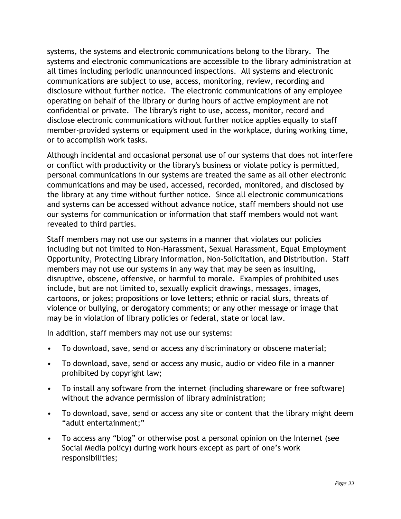systems, the systems and electronic communications belong to the library. The systems and electronic communications are accessible to the library administration at all times including periodic unannounced inspections. All systems and electronic communications are subject to use, access, monitoring, review, recording and disclosure without further notice. The electronic communications of any employee operating on behalf of the library or during hours of active employment are not confidential or private. The library's right to use, access, monitor, record and disclose electronic communications without further notice applies equally to staff member-provided systems or equipment used in the workplace, during working time, or to accomplish work tasks.

Although incidental and occasional personal use of our systems that does not interfere or conflict with productivity or the library's business or violate policy is permitted, personal communications in our systems are treated the same as all other electronic communications and may be used, accessed, recorded, monitored, and disclosed by the library at any time without further notice. Since all electronic communications and systems can be accessed without advance notice, staff members should not use our systems for communication or information that staff members would not want revealed to third parties.

Staff members may not use our systems in a manner that violates our policies including but not limited to Non-Harassment, Sexual Harassment, Equal Employment Opportunity, Protecting Library Information, Non-Solicitation, and Distribution. Staff members may not use our systems in any way that may be seen as insulting, disruptive, obscene, offensive, or harmful to morale. Examples of prohibited uses include, but are not limited to, sexually explicit drawings, messages, images, cartoons, or jokes; propositions or love letters; ethnic or racial slurs, threats of violence or bullying, or derogatory comments; or any other message or image that may be in violation of library policies or federal, state or local law.

In addition, staff members may not use our systems:

- To download, save, send or access any discriminatory or obscene material;
- To download, save, send or access any music, audio or video file in a manner prohibited by copyright law;
- To install any software from the internet (including shareware or free software) without the advance permission of library administration;
- To download, save, send or access any site or content that the library might deem "adult entertainment;"
- To access any "blog" or otherwise post a personal opinion on the Internet (see Social Media policy) during work hours except as part of one's work responsibilities;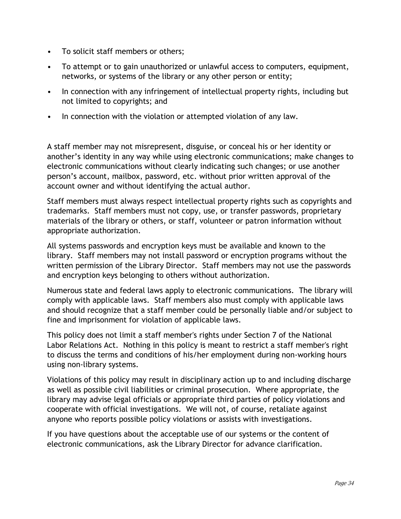- To solicit staff members or others;
- To attempt or to gain unauthorized or unlawful access to computers, equipment, networks, or systems of the library or any other person or entity;
- In connection with any infringement of intellectual property rights, including but not limited to copyrights; and
- In connection with the violation or attempted violation of any law.

A staff member may not misrepresent, disguise, or conceal his or her identity or another's identity in any way while using electronic communications; make changes to electronic communications without clearly indicating such changes; or use another person's account, mailbox, password, etc. without prior written approval of the account owner and without identifying the actual author.

Staff members must always respect intellectual property rights such as copyrights and trademarks. Staff members must not copy, use, or transfer passwords, proprietary materials of the library or others, or staff, volunteer or patron information without appropriate authorization.

All systems passwords and encryption keys must be available and known to the library. Staff members may not install password or encryption programs without the written permission of the Library Director. Staff members may not use the passwords and encryption keys belonging to others without authorization.

Numerous state and federal laws apply to electronic communications. The library will comply with applicable laws. Staff members also must comply with applicable laws and should recognize that a staff member could be personally liable and/or subject to fine and imprisonment for violation of applicable laws.

This policy does not limit a staff member's rights under Section 7 of the National Labor Relations Act. Nothing in this policy is meant to restrict a staff member's right to discuss the terms and conditions of his/her employment during non-working hours using non-library systems.

Violations of this policy may result in disciplinary action up to and including discharge as well as possible civil liabilities or criminal prosecution. Where appropriate, the library may advise legal officials or appropriate third parties of policy violations and cooperate with official investigations. We will not, of course, retaliate against anyone who reports possible policy violations or assists with investigations.

If you have questions about the acceptable use of our systems or the content of electronic communications, ask the Library Director for advance clarification.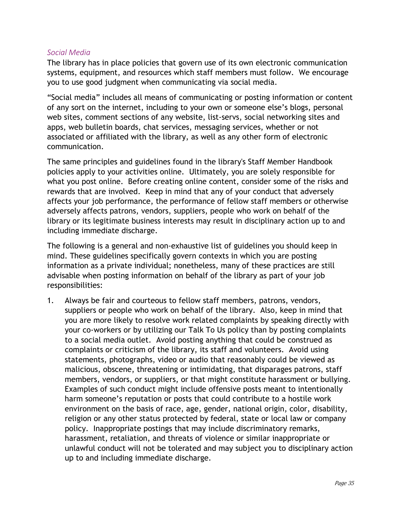#### <span id="page-38-0"></span>*Social Media*

The library has in place policies that govern use of its own electronic communication systems, equipment, and resources which staff members must follow. We encourage you to use good judgment when communicating via social media.

"Social media" includes all means of communicating or posting information or content of any sort on the internet, including to your own or someone else's blogs, personal web sites, comment sections of any website, list-servs, social networking sites and apps, web bulletin boards, chat services, messaging services, whether or not associated or affiliated with the library, as well as any other form of electronic communication.

The same principles and guidelines found in the library's Staff Member Handbook policies apply to your activities online. Ultimately, you are solely responsible for what you post online. Before creating online content, consider some of the risks and rewards that are involved. Keep in mind that any of your conduct that adversely affects your job performance, the performance of fellow staff members or otherwise adversely affects patrons, vendors, suppliers, people who work on behalf of the library or its legitimate business interests may result in disciplinary action up to and including immediate discharge.

The following is a general and non-exhaustive list of guidelines you should keep in mind. These guidelines specifically govern contexts in which you are posting information as a private individual; nonetheless, many of these practices are still advisable when posting information on behalf of the library as part of your job responsibilities:

1. Always be fair and courteous to fellow staff members, patrons, vendors, suppliers or people who work on behalf of the library. Also, keep in mind that you are more likely to resolve work related complaints by speaking directly with your co-workers or by utilizing our Talk To Us policy than by posting complaints to a social media outlet. Avoid posting anything that could be construed as complaints or criticism of the library, its staff and volunteers. Avoid using statements, photographs, video or audio that reasonably could be viewed as malicious, obscene, threatening or intimidating, that disparages patrons, staff members, vendors, or suppliers, or that might constitute harassment or bullying. Examples of such conduct might include offensive posts meant to intentionally harm someone's reputation or posts that could contribute to a hostile work environment on the basis of race, age, gender, national origin, color, disability, religion or any other status protected by federal, state or local law or company policy. Inappropriate postings that may include discriminatory remarks, harassment, retaliation, and threats of violence or similar inappropriate or unlawful conduct will not be tolerated and may subject you to disciplinary action up to and including immediate discharge.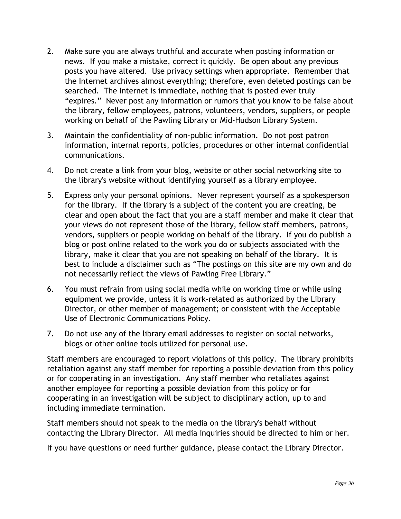- 2. Make sure you are always truthful and accurate when posting information or news. If you make a mistake, correct it quickly. Be open about any previous posts you have altered. Use privacy settings when appropriate. Remember that the Internet archives almost everything; therefore, even deleted postings can be searched. The Internet is immediate, nothing that is posted ever truly "expires." Never post any information or rumors that you know to be false about the library, fellow employees, patrons, volunteers, vendors, suppliers, or people working on behalf of the Pawling Library or Mid-Hudson Library System.
- 3. Maintain the confidentiality of non-public information. Do not post patron information, internal reports, policies, procedures or other internal confidential communications.
- 4. Do not create a link from your blog, website or other social networking site to the library's website without identifying yourself as a library employee.
- 5. Express only your personal opinions. Never represent yourself as a spokesperson for the library. If the library is a subject of the content you are creating, be clear and open about the fact that you are a staff member and make it clear that your views do not represent those of the library, fellow staff members, patrons, vendors, suppliers or people working on behalf of the library. If you do publish a blog or post online related to the work you do or subjects associated with the library, make it clear that you are not speaking on behalf of the library. It is best to include a disclaimer such as "The postings on this site are my own and do not necessarily reflect the views of Pawling Free Library."
- 6. You must refrain from using social media while on working time or while using equipment we provide, unless it is work-related as authorized by the Library Director, or other member of management; or consistent with the Acceptable Use of Electronic Communications Policy.
- 7. Do not use any of the library email addresses to register on social networks, blogs or other online tools utilized for personal use.

Staff members are encouraged to report violations of this policy. The library prohibits retaliation against any staff member for reporting a possible deviation from this policy or for cooperating in an investigation. Any staff member who retaliates against another employee for reporting a possible deviation from this policy or for cooperating in an investigation will be subject to disciplinary action, up to and including immediate termination.

Staff members should not speak to the media on the library's behalf without contacting the Library Director. All media inquiries should be directed to him or her.

If you have questions or need further guidance, please contact the Library Director.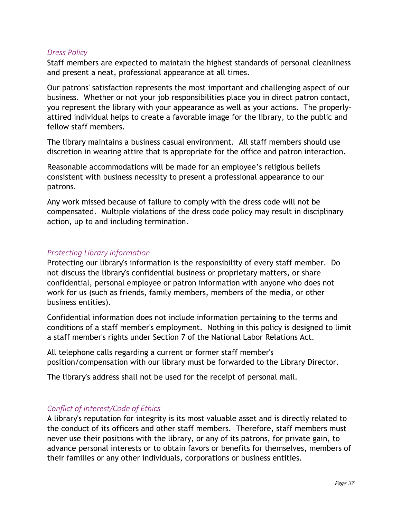#### <span id="page-40-0"></span>*Dress Policy*

Staff members are expected to maintain the highest standards of personal cleanliness and present a neat, professional appearance at all times.

Our patrons' satisfaction represents the most important and challenging aspect of our business. Whether or not your job responsibilities place you in direct patron contact, you represent the library with your appearance as well as your actions. The properlyattired individual helps to create a favorable image for the library, to the public and fellow staff members.

The library maintains a business casual environment. All staff members should use discretion in wearing attire that is appropriate for the office and patron interaction.

Reasonable accommodations will be made for an employee's religious beliefs consistent with business necessity to present a professional appearance to our patrons.

Any work missed because of failure to comply with the dress code will not be compensated. Multiple violations of the dress code policy may result in disciplinary action, up to and including termination.

#### <span id="page-40-1"></span>*Protecting Library Information*

Protecting our library's information is the responsibility of every staff member. Do not discuss the library's confidential business or proprietary matters, or share confidential, personal employee or patron information with anyone who does not work for us (such as friends, family members, members of the media, or other business entities).

Confidential information does not include information pertaining to the terms and conditions of a staff member's employment. Nothing in this policy is designed to limit a staff member's rights under Section 7 of the National Labor Relations Act.

All telephone calls regarding a current or former staff member's position/compensation with our library must be forwarded to the Library Director.

The library's address shall not be used for the receipt of personal mail.

#### <span id="page-40-2"></span>*Conflict of Interest/Code of Ethics*

A library's reputation for integrity is its most valuable asset and is directly related to the conduct of its officers and other staff members. Therefore, staff members must never use their positions with the library, or any of its patrons, for private gain, to advance personal interests or to obtain favors or benefits for themselves, members of their families or any other individuals, corporations or business entities.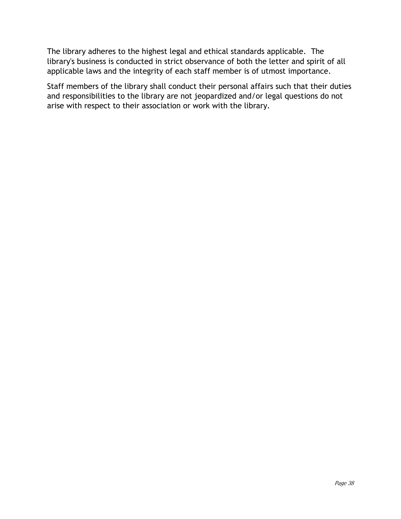The library adheres to the highest legal and ethical standards applicable. The library's business is conducted in strict observance of both the letter and spirit of all applicable laws and the integrity of each staff member is of utmost importance.

Staff members of the library shall conduct their personal affairs such that their duties and responsibilities to the library are not jeopardized and/or legal questions do not arise with respect to their association or work with the library.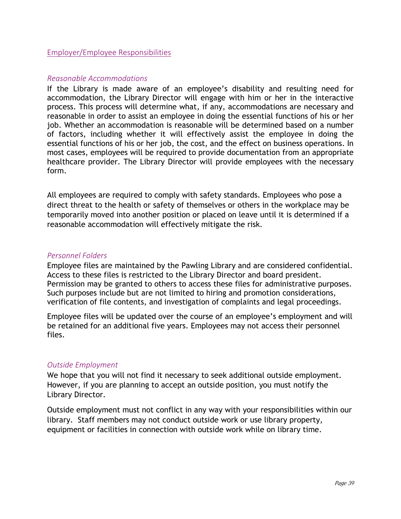#### <span id="page-42-0"></span>Employer/Employee Responsibilities

#### <span id="page-42-1"></span>*Reasonable Accommodations*

If the Library is made aware of an employee's disability and resulting need for accommodation, the Library Director will engage with him or her in the interactive process. This process will determine what, if any, accommodations are necessary and reasonable in order to assist an employee in doing the essential functions of his or her job. Whether an accommodation is reasonable will be determined based on a number of factors, including whether it will effectively assist the employee in doing the essential functions of his or her job, the cost, and the effect on business operations. In most cases, employees will be required to provide documentation from an appropriate healthcare provider. The Library Director will provide employees with the necessary form.

All employees are required to comply with safety standards. Employees who pose a direct threat to the health or safety of themselves or others in the workplace may be temporarily moved into another position or placed on leave until it is determined if a reasonable accommodation will effectively mitigate the risk.

#### <span id="page-42-2"></span>*Personnel Folders*

Employee files are maintained by the Pawling Library and are considered confidential. Access to these files is restricted to the Library Director and board president. Permission may be granted to others to access these files for administrative purposes. Such purposes include but are not limited to hiring and promotion considerations, verification of file contents, and investigation of complaints and legal proceedings.

Employee files will be updated over the course of an employee's employment and will be retained for an additional five years. Employees may not access their personnel files.

#### <span id="page-42-3"></span>*Outside Employment*

We hope that you will not find it necessary to seek additional outside employment. However, if you are planning to accept an outside position, you must notify the Library Director.

Outside employment must not conflict in any way with your responsibilities within our library. Staff members may not conduct outside work or use library property, equipment or facilities in connection with outside work while on library time.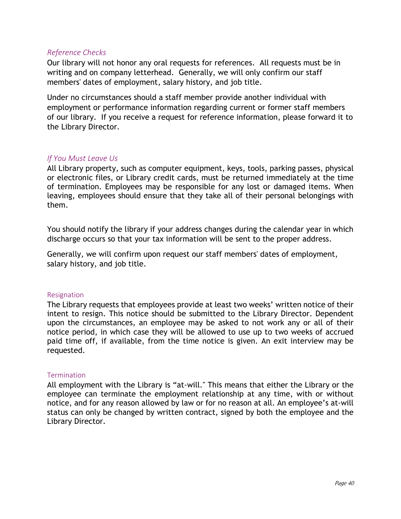#### <span id="page-43-0"></span>*Reference Checks*

Our library will not honor any oral requests for references. All requests must be in writing and on company letterhead. Generally, we will only confirm our staff members' dates of employment, salary history, and job title.

Under no circumstances should a staff member provide another individual with employment or performance information regarding current or former staff members of our library. If you receive a request for reference information, please forward it to the Library Director.

#### <span id="page-43-1"></span>*If You Must Leave Us*

All Library property, such as computer equipment, keys, tools, parking passes, physical or electronic files, or Library credit cards, must be returned immediately at the time of termination. Employees may be responsible for any lost or damaged items. When leaving, employees should ensure that they take all of their personal belongings with them.

You should notify the library if your address changes during the calendar year in which discharge occurs so that your tax information will be sent to the proper address.

Generally, we will confirm upon request our staff members' dates of employment, salary history, and job title.

#### Resignation

The Library requests that employees provide at least two weeks' written notice of their intent to resign. This notice should be submitted to the Library Director. Dependent upon the circumstances, an employee may be asked to not work any or all of their notice period, in which case they will be allowed to use up to two weeks of accrued paid time off, if available, from the time notice is given. An exit interview may be requested.

#### **Termination**

All employment with the Library is "at-will." This means that either the Library or the employee can terminate the employment relationship at any time, with or without notice, and for any reason allowed by law or for no reason at all. An employee's at-will status can only be changed by written contract, signed by both the employee and the Library Director.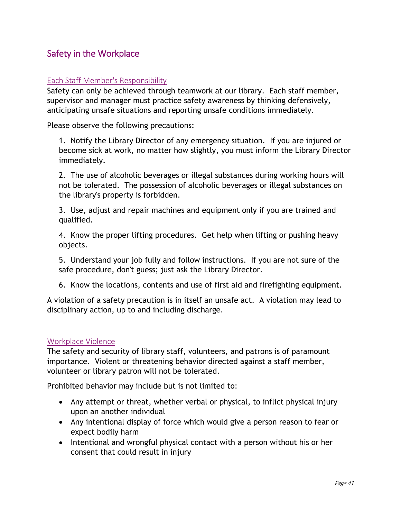# <span id="page-44-0"></span>Safety in the Workplace

#### <span id="page-44-1"></span>Each Staff Member's Responsibility

Safety can only be achieved through teamwork at our library. Each staff member, supervisor and manager must practice safety awareness by thinking defensively, anticipating unsafe situations and reporting unsafe conditions immediately.

Please observe the following precautions:

1. Notify the Library Director of any emergency situation. If you are injured or become sick at work, no matter how slightly, you must inform the Library Director immediately.

2. The use of alcoholic beverages or illegal substances during working hours will not be tolerated. The possession of alcoholic beverages or illegal substances on the library's property is forbidden.

3. Use, adjust and repair machines and equipment only if you are trained and qualified.

4. Know the proper lifting procedures. Get help when lifting or pushing heavy objects.

5. Understand your job fully and follow instructions. If you are not sure of the safe procedure, don't guess; just ask the Library Director.

6. Know the locations, contents and use of first aid and firefighting equipment.

A violation of a safety precaution is in itself an unsafe act. A violation may lead to disciplinary action, up to and including discharge.

#### <span id="page-44-2"></span>Workplace Violence

The safety and security of library staff, volunteers, and patrons is of paramount importance. Violent or threatening behavior directed against a staff member, volunteer or library patron will not be tolerated.

Prohibited behavior may include but is not limited to:

- Any attempt or threat, whether verbal or physical, to inflict physical injury upon an another individual
- Any intentional display of force which would give a person reason to fear or expect bodily harm
- Intentional and wrongful physical contact with a person without his or her consent that could result in injury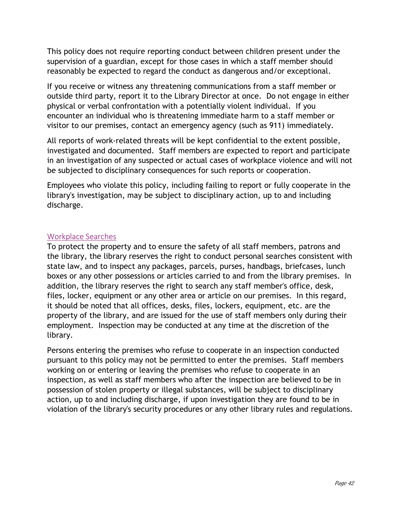This policy does not require reporting conduct between children present under the supervision of a guardian, except for those cases in which a staff member should reasonably be expected to regard the conduct as dangerous and/or exceptional.

If you receive or witness any threatening communications from a staff member or outside third party, report it to the Library Director at once. Do not engage in either physical or verbal confrontation with a potentially violent individual. If you encounter an individual who is threatening immediate harm to a staff member or visitor to our premises, contact an emergency agency (such as 911) immediately.

All reports of work-related threats will be kept confidential to the extent possible, investigated and documented. Staff members are expected to report and participate in an investigation of any suspected or actual cases of workplace violence and will not be subjected to disciplinary consequences for such reports or cooperation.

Employees who violate this policy, including failing to report or fully cooperate in the library's investigation, may be subject to disciplinary action, up to and including discharge.

#### <span id="page-45-0"></span>Workplace Searches

To protect the property and to ensure the safety of all staff members, patrons and the library, the library reserves the right to conduct personal searches consistent with state law, and to inspect any packages, parcels, purses, handbags, briefcases, lunch boxes or any other possessions or articles carried to and from the library premises. In addition, the library reserves the right to search any staff member's office, desk, files, locker, equipment or any other area or article on our premises. In this regard, it should be noted that all offices, desks, files, lockers, equipment, etc. are the property of the library, and are issued for the use of staff members only during their employment. Inspection may be conducted at any time at the discretion of the library.

Persons entering the premises who refuse to cooperate in an inspection conducted pursuant to this policy may not be permitted to enter the premises. Staff members working on or entering or leaving the premises who refuse to cooperate in an inspection, as well as staff members who after the inspection are believed to be in possession of stolen property or illegal substances, will be subject to disciplinary action, up to and including discharge, if upon investigation they are found to be in violation of the library's security procedures or any other library rules and regulations.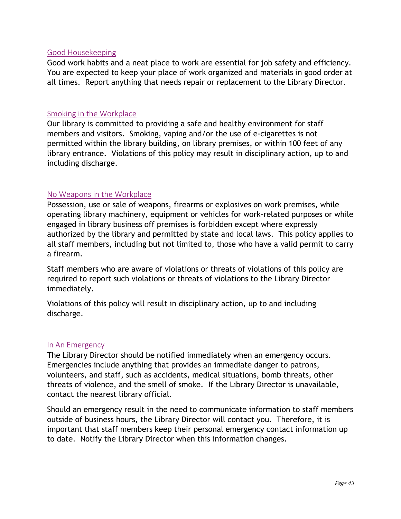#### <span id="page-46-0"></span>Good Housekeeping

Good work habits and a neat place to work are essential for job safety and efficiency. You are expected to keep your place of work organized and materials in good order at all times. Report anything that needs repair or replacement to the Library Director.

#### <span id="page-46-1"></span>Smoking in the Workplace

Our library is committed to providing a safe and healthy environment for staff members and visitors. Smoking, vaping and/or the use of e-cigarettes is not permitted within the library building, on library premises, or within 100 feet of any library entrance. Violations of this policy may result in disciplinary action, up to and including discharge.

#### <span id="page-46-2"></span>No Weapons in the Workplace

Possession, use or sale of weapons, firearms or explosives on work premises, while operating library machinery, equipment or vehicles for work-related purposes or while engaged in library business off premises is forbidden except where expressly authorized by the library and permitted by state and local laws. This policy applies to all staff members, including but not limited to, those who have a valid permit to carry a firearm.

Staff members who are aware of violations or threats of violations of this policy are required to report such violations or threats of violations to the Library Director immediately.

Violations of this policy will result in disciplinary action, up to and including discharge.

#### <span id="page-46-3"></span>In An Emergency

The Library Director should be notified immediately when an emergency occurs. Emergencies include anything that provides an immediate danger to patrons, volunteers, and staff, such as accidents, medical situations, bomb threats, other threats of violence, and the smell of smoke. If the Library Director is unavailable, contact the nearest library official.

Should an emergency result in the need to communicate information to staff members outside of business hours, the Library Director will contact you. Therefore, it is important that staff members keep their personal emergency contact information up to date. Notify the Library Director when this information changes.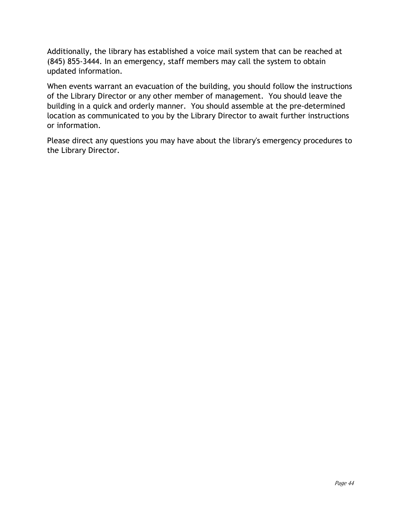Additionally, the library has established a voice mail system that can be reached at (845) 855-3444. In an emergency, staff members may call the system to obtain updated information.

When events warrant an evacuation of the building, you should follow the instructions of the Library Director or any other member of management. You should leave the building in a quick and orderly manner. You should assemble at the pre-determined location as communicated to you by the Library Director to await further instructions or information.

Please direct any questions you may have about the library's emergency procedures to the Library Director.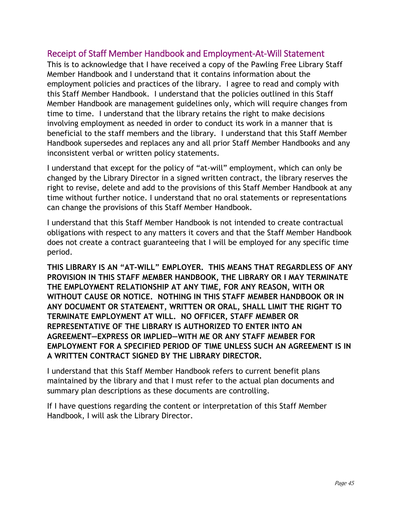## <span id="page-48-0"></span>Receipt of Staff Member Handbook and Employment-At-Will Statement

This is to acknowledge that I have received a copy of the Pawling Free Library Staff Member Handbook and I understand that it contains information about the employment policies and practices of the library. I agree to read and comply with this Staff Member Handbook. I understand that the policies outlined in this Staff Member Handbook are management guidelines only, which will require changes from time to time. I understand that the library retains the right to make decisions involving employment as needed in order to conduct its work in a manner that is beneficial to the staff members and the library. I understand that this Staff Member Handbook supersedes and replaces any and all prior Staff Member Handbooks and any inconsistent verbal or written policy statements.

I understand that except for the policy of "at-will" employment, which can only be changed by the Library Director in a signed written contract, the library reserves the right to revise, delete and add to the provisions of this Staff Member Handbook at any time without further notice. I understand that no oral statements or representations can change the provisions of this Staff Member Handbook.

I understand that this Staff Member Handbook is not intended to create contractual obligations with respect to any matters it covers and that the Staff Member Handbook does not create a contract guaranteeing that I will be employed for any specific time period.

**THIS LIBRARY IS AN "AT-WILL" EMPLOYER. THIS MEANS THAT REGARDLESS OF ANY PROVISION IN THIS STAFF MEMBER HANDBOOK, THE LIBRARY OR I MAY TERMINATE THE EMPLOYMENT RELATIONSHIP AT ANY TIME, FOR ANY REASON, WITH OR WITHOUT CAUSE OR NOTICE. NOTHING IN THIS STAFF MEMBER HANDBOOK OR IN ANY DOCUMENT OR STATEMENT, WRITTEN OR ORAL, SHALL LIMIT THE RIGHT TO TERMINATE EMPLOYMENT AT WILL. NO OFFICER, STAFF MEMBER OR REPRESENTATIVE OF THE LIBRARY IS AUTHORIZED TO ENTER INTO AN AGREEMENT—EXPRESS OR IMPLIED—WITH ME OR ANY STAFF MEMBER FOR EMPLOYMENT FOR A SPECIFIED PERIOD OF TIME UNLESS SUCH AN AGREEMENT IS IN A WRITTEN CONTRACT SIGNED BY THE LIBRARY DIRECTOR.**

I understand that this Staff Member Handbook refers to current benefit plans maintained by the library and that I must refer to the actual plan documents and summary plan descriptions as these documents are controlling.

If I have questions regarding the content or interpretation of this Staff Member Handbook, I will ask the Library Director.